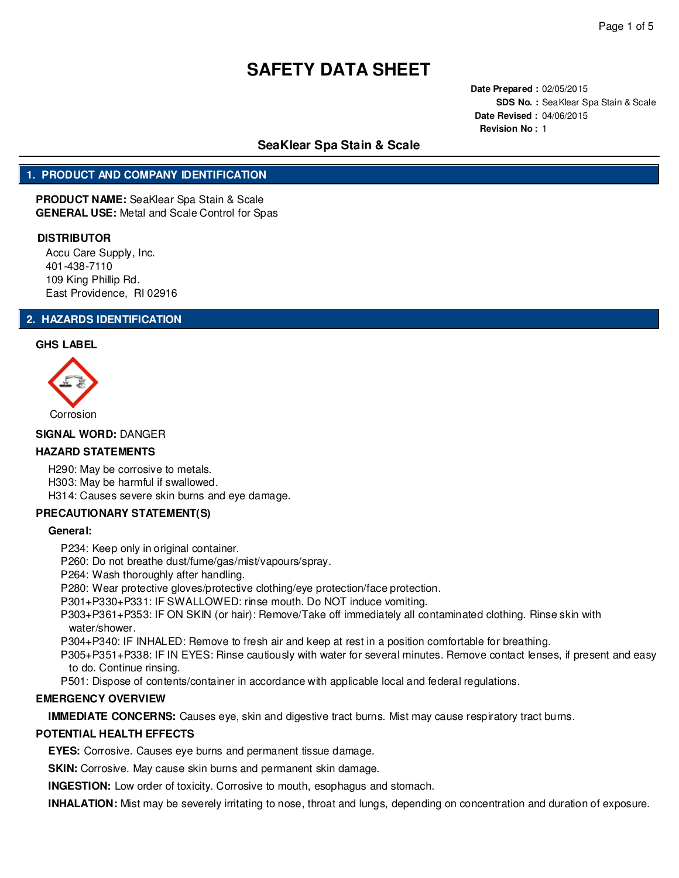**Date Prepared :** 02/05/2015 **SDS No. :** SeaKlear Spa Stain & Scale **Date Revised :** 04/06/2015 **Revision No :** 1

# **SeaKlear Spa Stain & Scale**

# **1. PRODUCT AND COMPANY IDENTIFICATION**

**PRODUCT NAME:** SeaKlear Spa Stain & Scale **GENERAL USE:** Metal and Scale Control for Spas

#### **DISTRIBUTOR**

Accu Care Supply, Inc. 401-438-7110 109 King Phillip Rd. East Providence, RI 02916

## **2. HAZARDS IDENTIFICATION**

#### **GHS LABEL**



**SIGNAL WORD:** DANGER

## **HAZARD STATEMENTS**

H290: May be corrosive to metals. H303: May be harmful if swallowed. H314: Causes severe skin burns and eye damage.

## **PRECAUTIONARY STATEMENT(S)**

#### **General:**

P234: Keep only in original container.

P260: Do not breathe dust/fume/gas/mist/vapours/spray.

P264: Wash thoroughly after handling.

P280: Wear protective gloves/protective clothing/eye protection/face protection.

P301+P330+P331: IF SWALLOWED: rinse mouth. Do NOT induce vomiting.

P303+P361+P353: IF ON SKIN (or hair): Remove/Take off immediately all contaminated clothing. Rinse skin with water/shower.

P304+P340: IF INHALED: Remove to fresh air and keep at rest in a position comfortable for breathing.

P305+P351+P338: IF IN EYES: Rinse cautiously with water for several minutes. Remove contact lenses, if present and easy to do. Continue rinsing.

P501: Dispose of contents/container in accordance with applicable local and federal regulations.

## **EMERGENCY OVERVIEW**

**IMMEDIATE CONCERNS:** Causes eye, skin and digestive tract burns. Mist may cause respiratory tract burns.

## **POTENTIAL HEALTH EFFECTS**

**EYES:** Corrosive. Causes eye burns and permanent tissue damage.

**SKIN:** Corrosive. May cause skin burns and permanent skin damage.

**INGESTION:** Low order of toxicity. Corrosive to mouth, esophagus and stomach.

**INHALATION:** Mist may be severely irritating to nose, throat and lungs, depending on concentration and duration of exposure.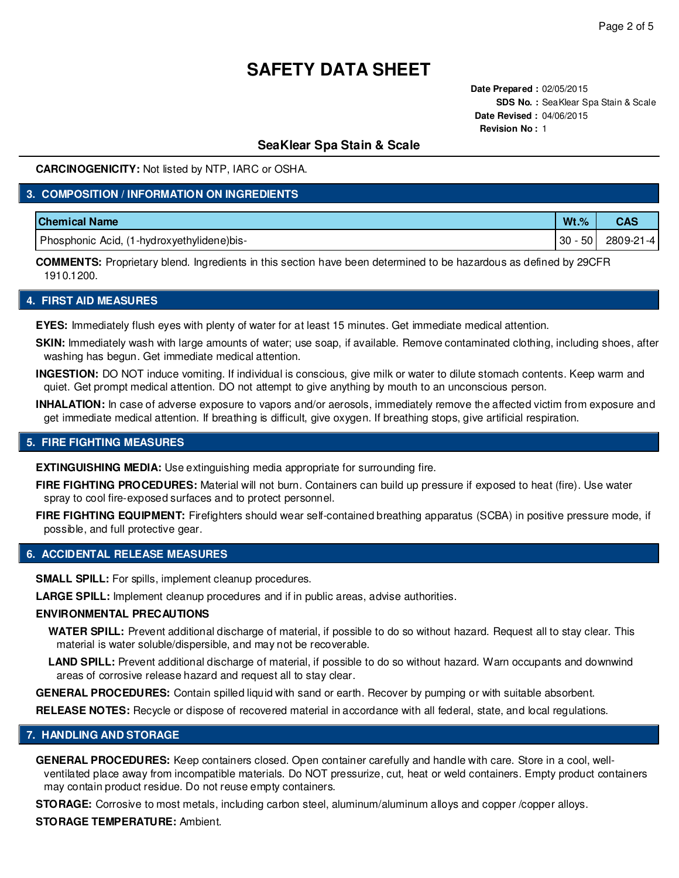**Date Prepared :** 02/05/2015 **SDS No. :** SeaKlear Spa Stain & Scale **Date Revised :** 04/06/2015 **Revision No :** 1

## **SeaKlear Spa Stain & Scale**

**CARCINOGENICITY:** Not listed by NTP, IARC or OSHA.

## **3. COMPOSITION / INFORMATION ON INGREDIENTS**

| <b>Chemical Name</b>                       | $Wt.$ %  | CAS       |
|--------------------------------------------|----------|-----------|
| Phosphonic Acid, (1-hydroxyethylidene)bis- | 50<br>30 | 2809-21-4 |

**COMMENTS:** Proprietary blend. Ingredients in this section have been determined to be hazardous as defined by 29CFR 1910.1200.

### **4. FIRST AID MEASURES**

**EYES:** Immediately flush eyes with plenty of water for at least 15 minutes. Get immediate medical attention.

**SKIN:** Immediately wash with large amounts of water; use soap, if available. Remove contaminated clothing, including shoes, after washing has begun. Get immediate medical attention.

**INGESTION:** DO NOT induce vomiting. If individual is conscious, give milk or water to dilute stomach contents. Keep warm and quiet. Get prompt medical attention. DO not attempt to give anything by mouth to an unconscious person.

**INHALATION:** In case of adverse exposure to vapors and/or aerosols, immediately remove the affected victim from exposure and get immediate medical attention. If breathing is difficult, give oxygen. If breathing stops, give artificial respiration.

### **5. FIRE FIGHTING MEASURES**

**EXTINGUISHING MEDIA:** Use extinguishing media appropriate for surrounding fire.

**FIRE FIGHTING PROCEDURES:** Material will not burn. Containers can build up pressure if exposed to heat (fire). Use water spray to cool fire-exposed surfaces and to protect personnel.

**FIRE FIGHTING EQUIPMENT:** Firefighters should wear self-contained breathing apparatus (SCBA) in positive pressure mode, if possible, and full protective gear.

#### **6. ACCIDENTAL RELEASE MEASURES**

**SMALL SPILL:** For spills, implement cleanup procedures.

**LARGE SPILL:** Implement cleanup procedures and if in public areas, advise authorities.

#### **ENVIRONMENTAL PRECAUTIONS**

**WATER SPILL:** Prevent additional discharge of material, if possible to do so without hazard. Request all to stay clear. This material is water soluble/dispersible, and may not be recoverable.

**LAND SPILL:** Prevent additional discharge of material, if possible to do so without hazard. Warn occupants and downwind areas of corrosive release hazard and request all to stay clear.

**GENERAL PROCEDURES:** Contain spilled liquid with sand or earth. Recover by pumping or with suitable absorbent.

**RELEASE NOTES:** Recycle or dispose of recovered material in accordance with all federal, state, and local regulations.

## **7. HANDLING AND STORAGE**

**GENERAL PROCEDURES:** Keep containers closed. Open container carefully and handle with care. Store in a cool, wellventilated place away from incompatible materials. Do NOT pressurize, cut, heat or weld containers. Empty product containers may contain product residue. Do not reuse empty containers.

**STORAGE:** Corrosive to most metals, including carbon steel, aluminum/aluminum alloys and copper /copper alloys.

#### **STORAGE TEMPERATURE:** Ambient.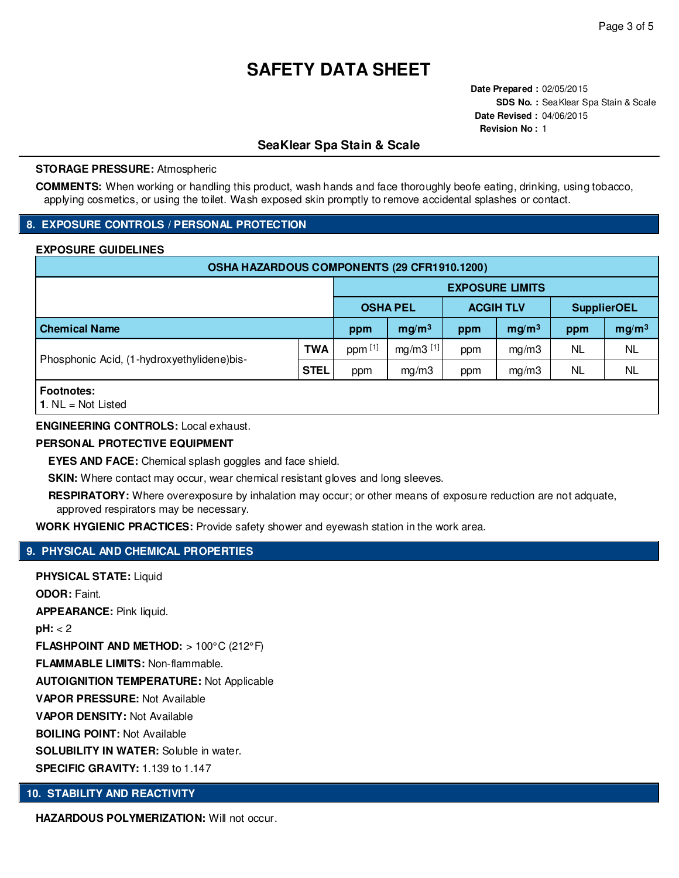**Date Prepared :** 02/05/2015 **SDS No. :** SeaKlear Spa Stain & Scale **Date Revised :** 04/06/2015 **Revision No :** 1

# **SeaKlear Spa Stain & Scale**

#### **STORAGE PRESSURE:** Atmospheric

**COMMENTS:** When working or handling this product, wash hands and face thoroughly beofe eating, drinking, using tobacco, applying cosmetics, or using the toilet. Wash exposed skin promptly to remove accidental splashes or contact.

## **8. EXPOSURE CONTROLS / PERSONAL PROTECTION**

## **EXPOSURE GUIDELINES**

| OSHA HAZARDOUS COMPONENTS (29 CFR1910.1200) |             |                        |                   |                  |                   |                    |                   |  |
|---------------------------------------------|-------------|------------------------|-------------------|------------------|-------------------|--------------------|-------------------|--|
|                                             |             | <b>EXPOSURE LIMITS</b> |                   |                  |                   |                    |                   |  |
|                                             |             | <b>OSHA PEL</b>        |                   | <b>ACGIH TLV</b> |                   | <b>SupplierOEL</b> |                   |  |
| <b>Chemical Name</b>                        |             | ppm                    | mg/m <sup>3</sup> | ppm              | mg/m <sup>3</sup> | ppm                | mg/m <sup>3</sup> |  |
| Phosphonic Acid, (1-hydroxyethylidene)bis-  | <b>TWA</b>  | ppm [1]                | $mg/m3$ [1]       | ppm              | mg/m3             | NL                 | <b>NL</b>         |  |
|                                             | <b>STEL</b> | ppm                    | mg/m3             | ppm              | mg/m3             | <b>NL</b>          | <b>NL</b>         |  |
| <b>Footnotes:</b>                           |             |                        |                   |                  |                   |                    |                   |  |

**1**. NL = Not Listed

## **ENGINEERING CONTROLS:** Local exhaust.

### **PERSONAL PROTECTIVE EQUIPMENT**

**EYES AND FACE:** Chemical splash goggles and face shield.

**SKIN:** Where contact may occur, wear chemical resistant gloves and long sleeves.

**RESPIRATORY:** Where overexposure by inhalation may occur; or other means of exposure reduction are not adquate, approved respirators may be necessary.

**WORK HYGIENIC PRACTICES:** Provide safety shower and eyewash station in the work area.

## **9. PHYSICAL AND CHEMICAL PROPERTIES**

**PHYSICAL STATE:** Liquid **ODOR:** Faint. **APPEARANCE:** Pink liquid. **pH:** < 2 **FLASHPOINT AND METHOD:** > 100°C (212°F) **FLAMMABLE LIMITS:** Non-flammable. **AUTOIGNITION TEMPERATURE:** Not Applicable **VAPOR PRESSURE:** Not Available **VAPOR DENSITY:** Not Available **BOILING POINT:** Not Available **SOLUBILITY IN WATER:** Soluble in water. **SPECIFIC GRAVITY:** 1.139 to 1.147

## **10. STABILITY AND REACTIVITY**

**HAZARDOUS POLYMERIZATION: Will not occur.**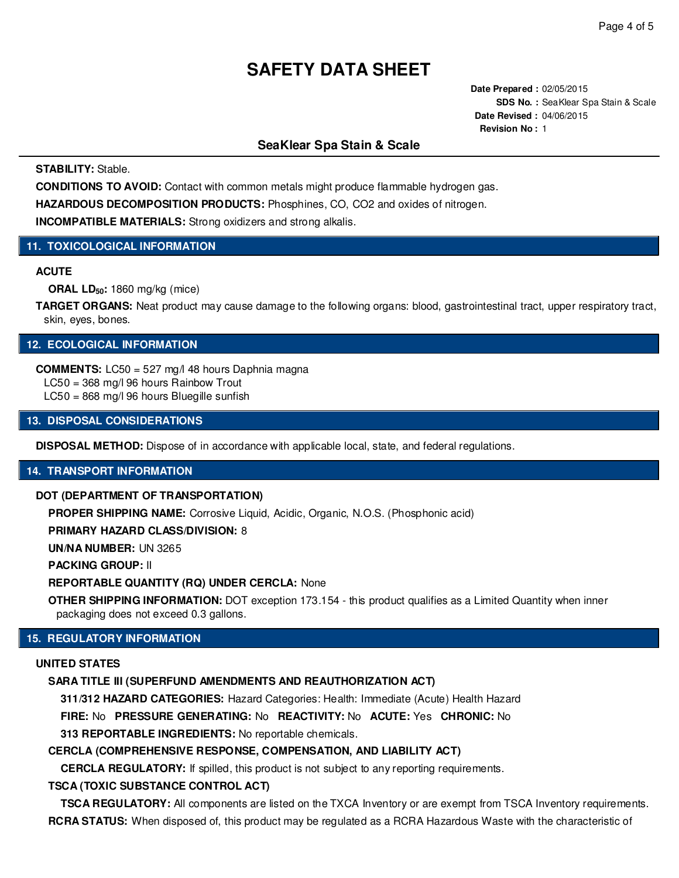**Date Prepared :** 02/05/2015 **SDS No. :** SeaKlear Spa Stain & Scale **Date Revised :** 04/06/2015 **Revision No :** 1

## **SeaKlear Spa Stain & Scale**

**STABILITY:** Stable.

**CONDITIONS TO AVOID:** Contact with common metals might produce flammable hydrogen gas.

**HAZARDOUS DECOMPOSITION PRODUCTS:** Phosphines, CO, CO2 and oxides of nitrogen.

**INCOMPATIBLE MATERIALS:** Strong oxidizers and strong alkalis.

## **11. TOXICOLOGICAL INFORMATION**

## **ACUTE**

**ORAL LD50:** 1860 mg/kg (mice)

**TARGET ORGANS:** Neat product may cause damage to the following organs: blood, gastrointestinal tract, upper respiratory tract, skin, eyes, bones.

# **12. ECOLOGICAL INFORMATION**

**COMMENTS:** LC50 = 527 mg/l 48 hours Daphnia magna LC50 = 368 mg/l 96 hours Rainbow Trout

LC50 = 868 mg/l 96 hours Bluegille sunfish

**13. DISPOSAL CONSIDERATIONS**

**DISPOSAL METHOD:** Dispose of in accordance with applicable local, state, and federal regulations.

## **14. TRANSPORT INFORMATION**

#### **DOT (DEPARTMENT OF TRANSPORTATION)**

**PROPER SHIPPING NAME:** Corrosive Liquid, Acidic, Organic, N.O.S. (Phosphonic acid)

**PRIMARY HAZARD CLASS/DIVISION:** 8

**UN/NA NUMBER:** UN 3265

**PACKING GROUP:** II

#### **REPORTABLE QUANTITY (RQ) UNDER CERCLA:** None

**OTHER SHIPPING INFORMATION:** DOT exception 173.154 - this product qualifies as a Limited Quantity when inner packaging does not exceed 0.3 gallons.

## **15. REGULATORY INFORMATION**

#### **UNITED STATES**

## **SARA TITLE III (SUPERFUND AMENDMENTS AND REAUTHORIZATION ACT)**

**311/312 HAZARD CATEGORIES:** Hazard Categories: Health: Immediate (Acute) Health Hazard

**FIRE:** No **PRESSURE GENERATING:** No **REACTIVITY:** No **ACUTE:** Yes **CHRONIC:** No

**313 REPORTABLE INGREDIENTS:** No reportable chemicals.

## **CERCLA (COMPREHENSIVE RESPONSE, COMPENSATION, AND LIABILITY ACT)**

**CERCLA REGULATORY:** If spilled, this product is not subject to any reporting requirements.

## **TSCA (TOXIC SUBSTANCE CONTROL ACT)**

**TSCA REGULATORY:** All components are listed on the TXCA Inventory or are exempt from TSCA Inventory requirements. **RCRA STATUS:** When disposed of, this product may be regulated as a RCRA Hazardous Waste with the characteristic of